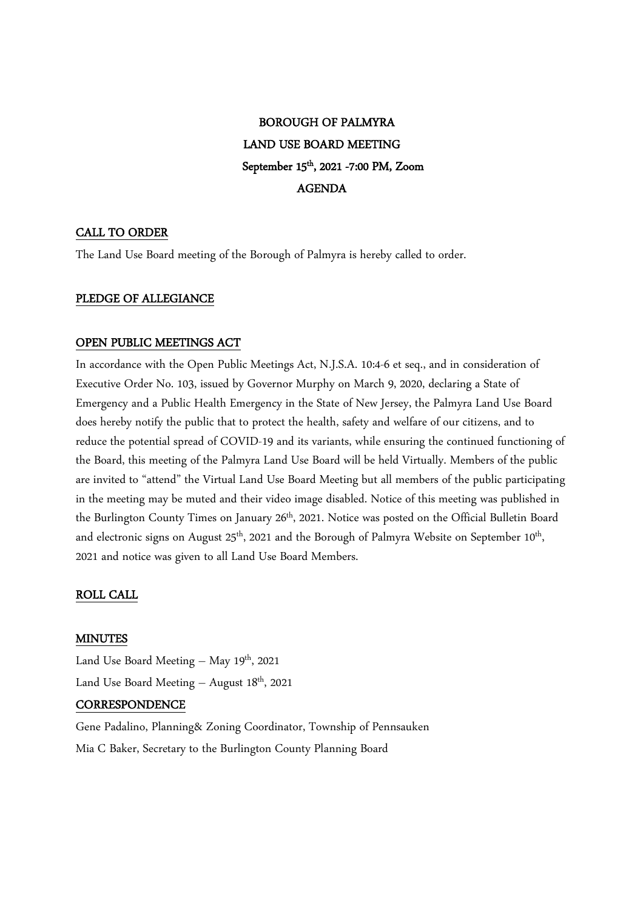# BOROUGH OF PALMYRA LAND USE BOARD MEETING September 15th, 2021 -7:00 PM, Zoom AGENDA

# CALL TO ORDER

The Land Use Board meeting of the Borough of Palmyra is hereby called to order.

## PLEDGE OF ALLEGIANCE

## OPEN PUBLIC MEETINGS ACT

In accordance with the Open Public Meetings Act, N.J.S.A. 10:4-6 et seq., and in consideration of Executive Order No. 103, issued by Governor Murphy on March 9, 2020, declaring a State of Emergency and a Public Health Emergency in the State of New Jersey, the Palmyra Land Use Board does hereby notify the public that to protect the health, safety and welfare of our citizens, and to reduce the potential spread of COVID-19 and its variants, while ensuring the continued functioning of the Board, this meeting of the Palmyra Land Use Board will be held Virtually. Members of the public are invited to "attend" the Virtual Land Use Board Meeting but all members of the public participating in the meeting may be muted and their video image disabled. Notice of this meeting was published in the Burlington County Times on January 26<sup>th</sup>, 2021. Notice was posted on the Official Bulletin Board and electronic signs on August  $25<sup>th</sup>$ , 2021 and the Borough of Palmyra Website on September 10<sup>th</sup>, , 2021 and notice was given to all Land Use Board Members.

## ROLL CALL

#### MINUTES

Land Use Board Meeting – May  $19<sup>th</sup>$ , 2021 Land Use Board Meeting  $-$  August 18<sup>th</sup>, 2021

## CORRESPONDENCE

Gene Padalino, Planning& Zoning Coordinator, Township of Pennsauken Mia C Baker, Secretary to the Burlington County Planning Board